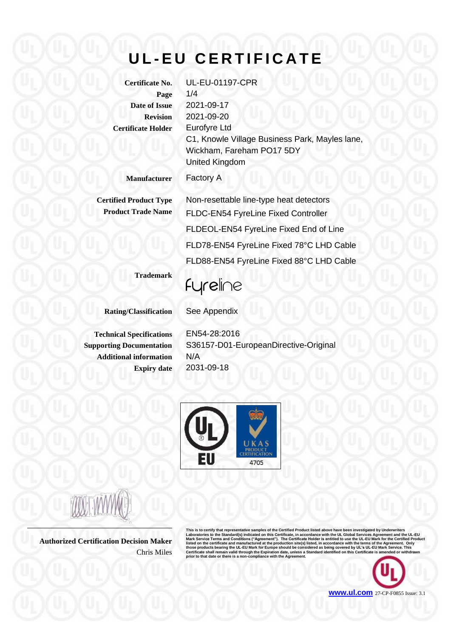## **U L - E U C E R T I F I C A T E**

**Page** 1/4 **Certificate Holder** Eurofyre Ltd

**Certificate No.** UL-EU-01197-CPR **Date of Issue** 2021-09-17 **Revision** 2021-09-20 C1, Knowle Village Business Park, Mayles lane, Wickham, Fareham PO17 5DY United Kingdom

**Manufacturer** Factory A

**Certified Product Type** Non-resettable line-type heat detectors **Product Trade Name** FLDC-EN54 FyreLine Fixed Controller FLDEOL-EN54 FyreLine Fixed End of Line FLD78-EN54 FyreLine Fixed 78°C LHD Cable FLD88-EN54 FyreLine Fixed 88°C LHD Cable

**Trademark**

fyreline

**Rating/Classification** See Appendix

**Technical Specifications** EN54-28:2016 **Additional information** N/A

**Supporting Documentation** S36157-D01-EuropeanDirective-Original **Expiry date** 2031-09-18



**Authorized Certification Decision Maker** Chris Miles

This is to certify that representative samples of the Certified Product listed above have been investigated by Underwriters<br>Laboratories to the Standard(s) indicated on this Certificate, in accordance with the UL Global Se

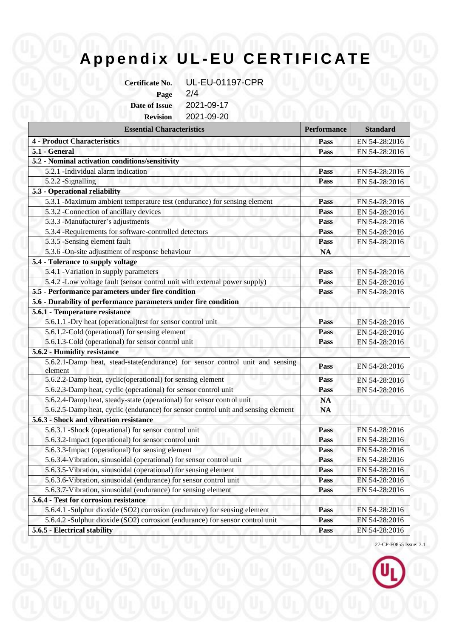## **A p p e n d i x U L - E U C E R T I F I C A T E**

**Certificate No.** UL-EU-01197-CPR **Page** 2/4

**Date of Issue** 2021-09-17

**Revision** 2021-09-20

| <b>Essential Characteristics</b>                                                         | <b>Performance</b> | <b>Standard</b> |
|------------------------------------------------------------------------------------------|--------------------|-----------------|
| <b>4 - Product Characteristics</b>                                                       | Pass               | EN 54-28:2016   |
| 5.1 - General                                                                            | Pass               | EN 54-28:2016   |
| 5.2 - Nominal activation conditions/sensitivity                                          |                    |                 |
| 5.2.1 -Individual alarm indication                                                       | Pass               | EN 54-28:2016   |
| 5.2.2 -Signalling                                                                        | Pass               | EN 54-28:2016   |
| 5.3 - Operational reliability                                                            |                    |                 |
| 5.3.1 -Maximum ambient temperature test (endurance) for sensing element                  | Pass               | EN 54-28:2016   |
| 5.3.2 - Connection of ancillary devices                                                  | Pass               | EN 54-28:2016   |
| 5.3.3 - Manufacturer's adjustments                                                       | Pass               | EN 54-28:2016   |
| 5.3.4 -Requirements for software-controlled detectors                                    | Pass               | EN 54-28:2016   |
| 5.3.5 -Sensing element fault                                                             | Pass               | EN 54-28:2016   |
| 5.3.6 -On-site adjustment of response behaviour                                          | <b>NA</b>          |                 |
| 5.4 - Tolerance to supply voltage                                                        |                    |                 |
| 5.4.1 - Variation in supply parameters                                                   | Pass               | EN 54-28:2016   |
| 5.4.2 -Low voltage fault (sensor control unit with external power supply)                | Pass               | EN 54-28:2016   |
| 5.5 - Performance parameters under fire condition                                        | Pass               | EN 54-28:2016   |
| 5.6 - Durability of performance parameters under fire condition                          |                    |                 |
| 5.6.1 - Temperature resistance                                                           |                    |                 |
| 5.6.1.1 -Dry heat (operational)test for sensor control unit                              | Pass               | EN 54-28:2016   |
| 5.6.1.2-Cold (operational) for sensing element                                           | Pass               | EN 54-28:2016   |
| 5.6.1.3-Cold (operational) for sensor control unit                                       | Pass               | EN 54-28:2016   |
| 5.6.2 - Humidity resistance                                                              |                    |                 |
| 5.6.2.1-Damp heat, stead-state(endurance) for sensor control unit and sensing<br>element | Pass               | EN 54-28:2016   |
| 5.6.2.2-Damp heat, cyclic(operational) for sensing element                               | Pass               | EN 54-28:2016   |
| 5.6.2.3-Damp heat, cyclic (operational) for sensor control unit                          | Pass               | EN 54-28:2016   |
| 5.6.2.4-Damp heat, steady-state (operational) for sensor control unit                    | <b>NA</b>          |                 |
| 5.6.2.5-Damp heat, cyclic (endurance) for sensor control unit and sensing element        | <b>NA</b>          |                 |
| 5.6.3 - Shock and vibration resistance                                                   |                    |                 |
| 5.6.3.1 -Shock (operational) for sensor control unit                                     | Pass               | EN 54-28:2016   |
| 5.6.3.2-Impact (operational) for sensor control unit                                     | Pass               | EN 54-28:2016   |
| 5.6.3.3-Impact (operational) for sensing element                                         | Pass               | EN 54-28:2016   |
| 5.6.3.4-Vibration, sinusoidal (operational) for sensor control unit                      | Pass               | EN 54-28:2016   |
| 5.6.3.5-Vibration, sinusoidal (operational) for sensing element                          | Pass               | EN 54-28:2016   |
| 5.6.3.6-Vibration, sinusoidal (endurance) for sensor control unit                        | Pass               | EN 54-28:2016   |
| 5.6.3.7-Vibration, sinusoidal (endurance) for sensing element                            | Pass               | EN 54-28:2016   |
| 5.6.4 - Test for corrosion resistance                                                    |                    |                 |
| 5.6.4.1 -Sulphur dioxide (SO2) corrosion (endurance) for sensing element                 | Pass               | EN 54-28:2016   |
| 5.6.4.2 -Sulphur dioxide (SO2) corrosion (endurance) for sensor control unit             | <b>Pass</b>        | EN 54-28:2016   |
| 5.6.5 - Electrical stability                                                             | Pass               | EN 54-28:2016   |

27-CP-F0855 Issue: 3.1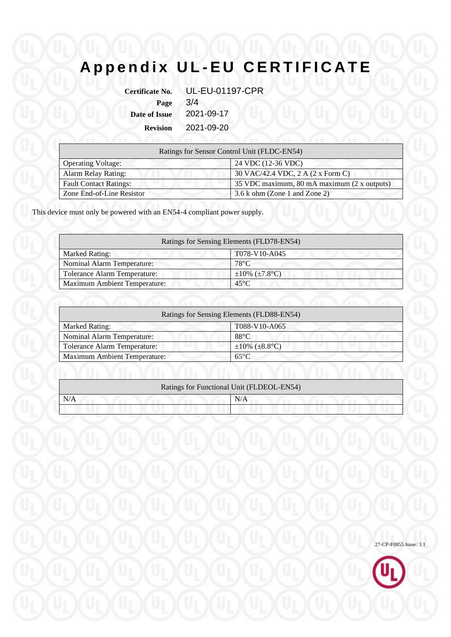# **A p p e n d i x U L - E U C E R T I F I C A T E**

| <b>Certificate No.</b> | <b>UL-EU-01197-CPR</b> |
|------------------------|------------------------|
| Page                   | 3/4                    |
| <b>Date of Issue</b>   | 2021-09-17             |
| <b>Revision</b>        | 2021-09-20             |

|                               | Ratings for Sensor Control Unit (FLDC-EN54) |
|-------------------------------|---------------------------------------------|
| <b>Operating Voltage:</b>     | 24 VDC (12-36 VDC)                          |
| <b>Alarm Relay Rating:</b>    | 30 VAC/42.4 VDC, 2 A (2 x Form C)           |
| <b>Fault Contact Ratings:</b> | 35 VDC maximum, 80 mA maximum (2 x outputs) |
| Zone End-of-Line Resistor     | 3.6 k ohm (Zone 1 and Zone 2)               |

This device must only be powered with an EN54-4 compliant power supply.

| Ratings for Sensing Elements (FLD78-EN54) |                            |
|-------------------------------------------|----------------------------|
| <b>Marked Rating:</b>                     | T078-V10-A045              |
| Nominal Alarm Temperature:                | $78^{\circ}$ C             |
| <b>Tolerance Alarm Temperature:</b>       | $\pm 10\%$ ( $\pm 7.8$ °C) |
| <b>Maximum Ambient Temperature:</b>       | $45^{\circ}$ C             |

|                                     | Ratings for Sensing Elements (FLD88-EN54) |  |
|-------------------------------------|-------------------------------------------|--|
| <b>Marked Rating:</b>               | T088-V10-A065                             |  |
| <b>Nominal Alarm Temperature:</b>   | $88^{\circ}$ C                            |  |
| <b>Tolerance Alarm Temperature:</b> | $\pm 10\%$ ( $\pm 8.8$ °C)                |  |
| <b>Maximum Ambient Temperature:</b> | $65^{\circ}$ C                            |  |

|     | Ratings for Functional Unit (FLDEOL-EN54) |
|-----|-------------------------------------------|
| N/A | N/A                                       |
|     |                                           |

27-CP-F0855 Issue: 3.1